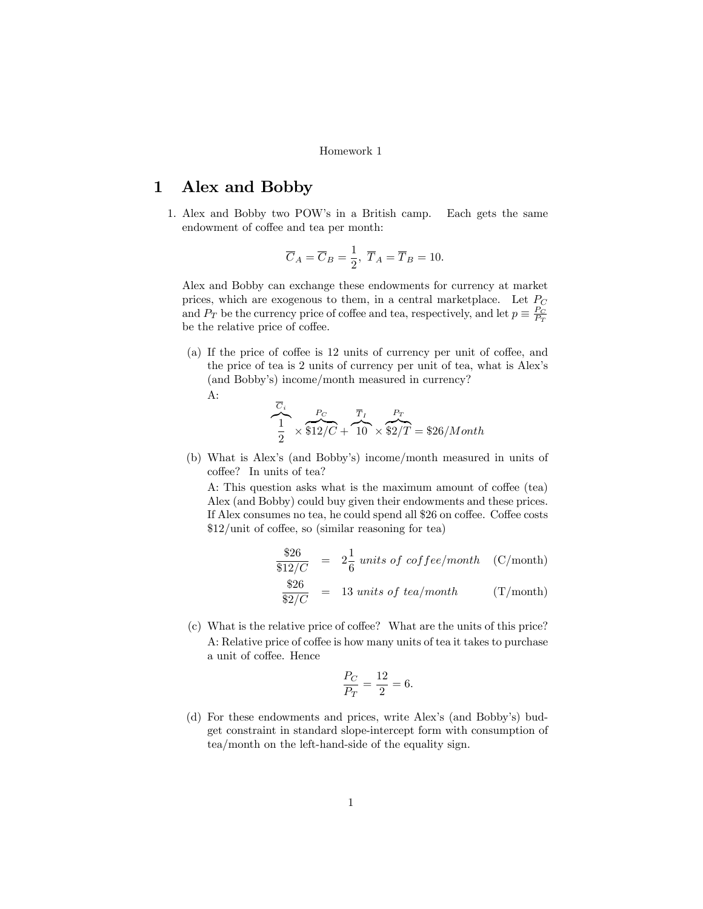## Homework 1

## 1 Alex and Bobby

1. Alex and Bobby two POW's in a British camp. Each gets the same endowment of coffee and tea per month:

$$
\overline{C}_A = \overline{C}_B = \frac{1}{2}, \ \overline{T}_A = \overline{T}_B = 10.
$$

Alex and Bobby can exchange these endowments for currency at market prices, which are exogenous to them, in a central marketplace. Let  $P_C$ and  $P_T$  be the currency price of coffee and tea, respectively, and let  $p \equiv \frac{P_C}{P_T}$ be the relative price of coffee.

(a) If the price of coffee is  $12$  units of currency per unit of coffee, and the price of tea is 2 units of currency per unit of tea, what is Alex's (and Bobby's) income/month measured in currency?

$$
\mathrm{A} \colon
$$

$$
\overbrace{1 \ 2}^{\overline{C}_i} \times \overbrace{\$12/C}^{\overline{P}_C} + \overbrace{10}^{\overline{T}_I} \times \overbrace{\$2/T$} = \$26/Month
$$

(b) What is Alex's (and Bobby's) income/month measured in units of coffee? In units of tea?

A: This question asks what is the maximum amount of coffee (tea) Alex (and Bobby) could buy given their endowments and these prices. If Alex consumes no tea, he could spend all \$26 on coffee. Coffee costs  $$12/unit of coffee, so (similar reasoning for tea)$ 

$$
\frac{$26}{$12/C} = 2\frac{1}{6} units of coffee/month \quad (C/month)
$$
  

$$
\frac{$26}{$2/C} = 13 units of tea/month \quad (T/month)
$$

 $(c)$  What is the relative price of coffee? What are the units of this price? A: Relative price of coffee is how many units of tea it takes to purchase a unit of coffee. Hence

$$
\frac{P_C}{P_T} = \frac{12}{2} = 6.
$$

(d) For these endowments and prices, write Alex's (and Bobby's) budget constraint in standard slope-intercept form with consumption of tea/month on the left-hand-side of the equality sign.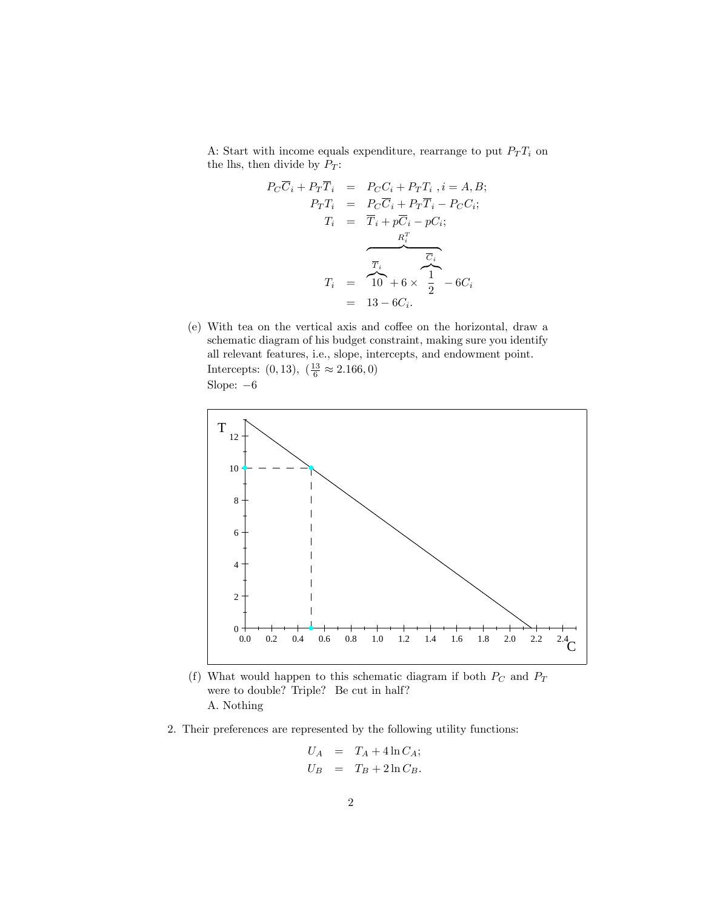A: Start with income equals expenditure, rearrange to put  $P_T T_i$  on the lhs, then divide by  $P_T$ :

$$
P_C \overline{C}_i + P_T \overline{T}_i = P_C C_i + P_T T_i, i = A, B;
$$
  
\n
$$
P_T T_i = P_C \overline{C}_i + P_T \overline{T}_i - P_C C_i;
$$
  
\n
$$
T_i = \overline{T}_i + p \overline{C}_i - p C_i;
$$
  
\n
$$
\overline{R}_i^T
$$
  
\n
$$
\overline{T}_i
$$
  
\n
$$
\overline{T}_i
$$
  
\n
$$
\overline{T}_i
$$
  
\n
$$
\overline{T}_i
$$
  
\n
$$
\overline{T}_i
$$
  
\n
$$
\overline{T}_i
$$
  
\n
$$
\overline{T}_i
$$
  
\n
$$
\overline{T}_i
$$
  
\n
$$
\overline{T}_i
$$
  
\n
$$
\overline{T}_i
$$
  
\n
$$
\overline{T}_i
$$
  
\n
$$
\overline{T}_i
$$
  
\n
$$
\overline{T}_i
$$
  
\n
$$
\overline{T}_i
$$
  
\n
$$
\overline{T}_i
$$
  
\n
$$
\overline{T}_i
$$
  
\n
$$
\overline{T}_i
$$
  
\n
$$
\overline{T}_i
$$
  
\n
$$
\overline{T}_i
$$
  
\n
$$
\overline{T}_i
$$
  
\n
$$
\overline{T}_i
$$
  
\n
$$
\overline{T}_i
$$
  
\n
$$
\overline{T}_i
$$
  
\n
$$
\overline{T}_i
$$
  
\n
$$
\overline{T}_i
$$
  
\n
$$
\overline{T}_i
$$
  
\n
$$
\overline{T}_i
$$
  
\n
$$
\overline{T}_i
$$
  
\n
$$
\overline{T}_i
$$
  
\n
$$
\overline{T}_i
$$
  
\n
$$
\overline{T}_i
$$
  
\n
$$
\overline{T}_i
$$
  
\n
$$
\overline{T}_i
$$
  
\n
$$
\overline{T}_i
$$
  
\n
$$
\overline{T}_i
$$
  
\n
$$
\overline{T}_i
$$
  
\n
$$
\overline{T}_i
$$

(e) With tea on the vertical axis and coffee on the horizontal, draw a schematic diagram of his budget constraint, making sure you identify all relevant features, i.e., slope, intercepts, and endowment point. Intercepts:  $(0, 13), \ (\frac{13}{6} \approx 2.166, 0)$ Slope:  $-6$ 



- (f) What would happen to this schematic diagram if both  $P_C$  and  $P_T$ were to double? Triple? Be cut in half? A. Nothing
- 2. Their preferences are represented by the following utility functions:

$$
U_A = T_A + 4 \ln C_A;
$$
  

$$
U_B = T_B + 2 \ln C_B.
$$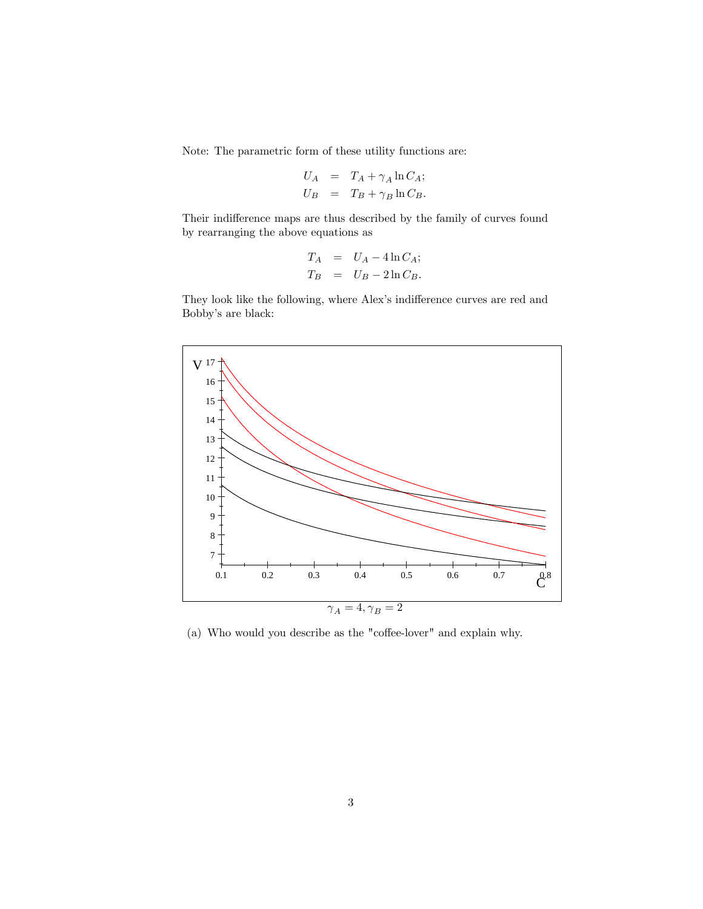Note: The parametric form of these utility functions are:

$$
U_A = T_A + \gamma_A \ln C_A;
$$
  

$$
U_B = T_B + \gamma_B \ln C_B.
$$

Their indifference maps are thus described by the family of curves found by rearranging the above equations as

$$
T_A = U_A - 4 \ln C_A;
$$
  
\n
$$
T_B = U_B - 2 \ln C_B.
$$

They look like the following, where Alex's indifference curves are red and Bobby's are black:



(a) Who would you describe as the "coffee-lover" and explain why.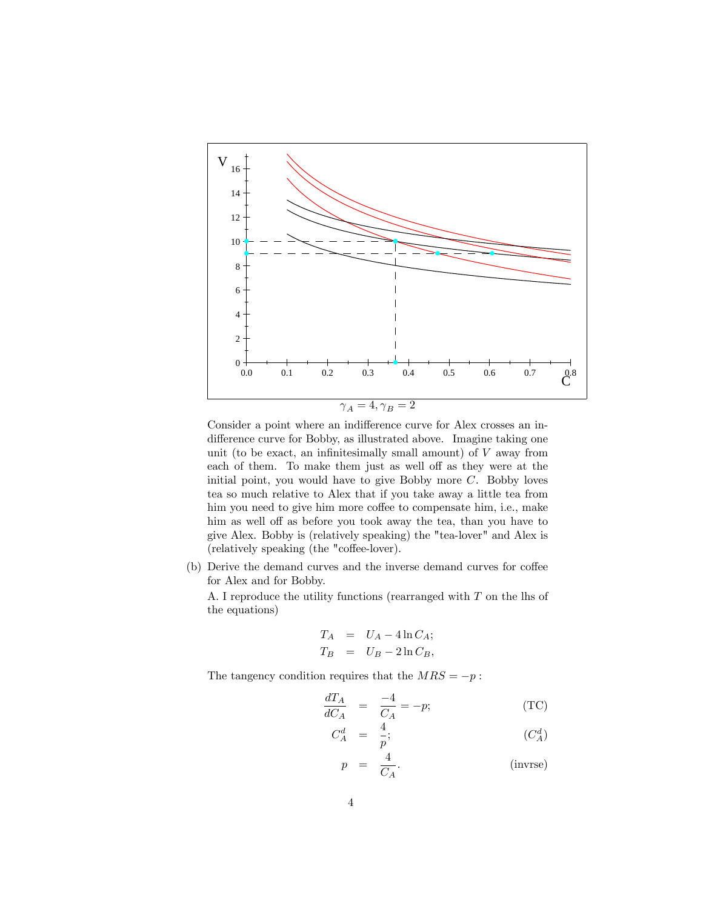

Consider a point where an indifference curve for Alex crosses an indifference curve for Bobby, as illustrated above. Imagine taking one unit (to be exact, an infinitesimally small amount) of  $V$  away from each of them. To make them just as well off as they were at the initial point, you would have to give Bobby more  $C$ . Bobby loves tea so much relative to Alex that if you take away a little tea from him you need to give him more coffee to compensate him, i.e., make him as well off as before you took away the tea, than you have to give Alex. Bobby is (relatively speaking) the "tea-lover" and Alex is (relatively speaking (the "coffee-lover).

(b) Derive the demand curves and the inverse demand curves for coffee for Alex and for Bobby.

A. I reproduce the utility functions (rearranged with T on the lhs of the equations)

$$
T_A = U_A - 4 \ln C_A;
$$
  
\n
$$
T_B = U_B - 2 \ln C_B,
$$

The tangency condition requires that the  $MRS = -p$ :

$$
\frac{dT_A}{dC_A} = \frac{-4}{C_A} = -p;\tag{TC}
$$

$$
C_A^d \quad = \quad \frac{4}{p}; \qquad \qquad (C_A^d)
$$

$$
p = \frac{4}{C_A}.\tag{inverse}
$$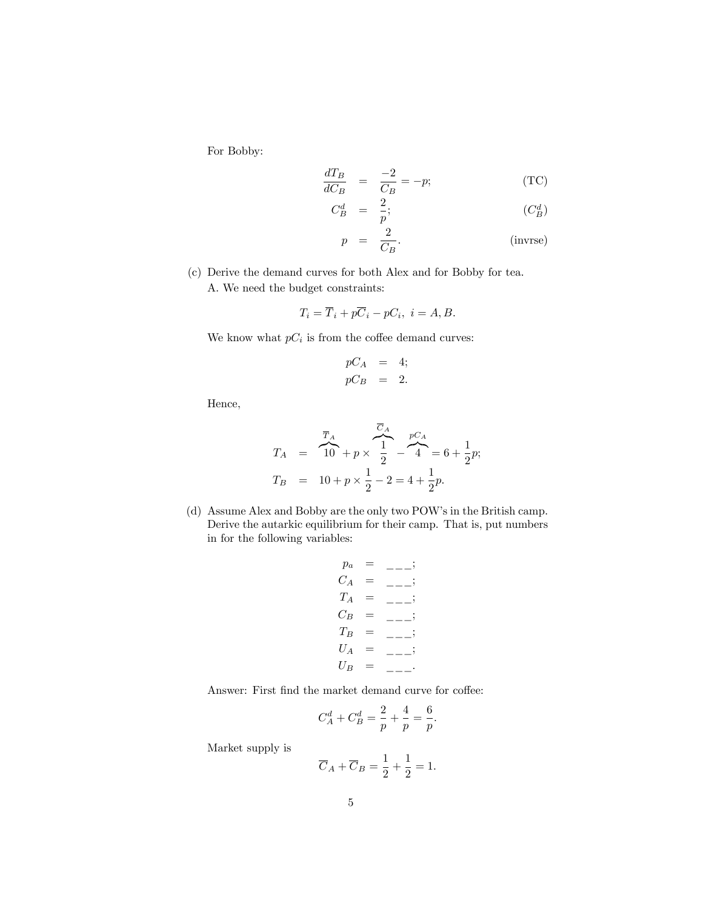For Bobby:

$$
\frac{dT_B}{dC_B} = \frac{-2}{C_B} = -p;\tag{TC}
$$

$$
C_B^d = \frac{2}{p}; \t\t (C_B^d)
$$

$$
p = \frac{2}{C_B}.\tag{inverse}
$$

(c) Derive the demand curves for both Alex and for Bobby for tea. A. We need the budget constraints:

$$
T_i = \overline{T}_i + p\overline{C}_i - pC_i, \ i = A, B.
$$

We know what  $pC_i$  is from the coffee demand curves:

$$
pC_A = 4;
$$
  

$$
pC_B = 2.
$$

Hence,

$$
T_A = \overline{10} + p \times \overline{1} - \overline{4} = 6 + \frac{1}{2}p;
$$
  
\n
$$
T_B = 10 + p \times \frac{1}{2} - 2 = 4 + \frac{1}{2}p.
$$

(d) Assume Alex and Bobby are the only two POW's in the British camp. Derive the autarkic equilibrium for their camp. That is, put numbers in for the following variables:

$$
p_a = \underline{\hspace{1cm}} \underline{\hspace{1cm}} \underline{\hspace{1cm}} \underline{\hspace{1cm}} \underline{\hspace{1cm}} \underline{\hspace{1cm}} \underline{\hspace{1cm}} \underline{\hspace{1cm}} \underline{\hspace{1cm}} \underline{\hspace{1cm}} \underline{\hspace{1cm}} \underline{\hspace{1cm}} \underline{\hspace{1cm}} \underline{\hspace{1cm}} \underline{\hspace{1cm}} \underline{\hspace{1cm}} \underline{\hspace{1cm}} \underline{\hspace{1cm}} \underline{\hspace{1cm}} \underline{\hspace{1cm}} \underline{\hspace{1cm}} \underline{\hspace{1cm}} \underline{\hspace{1cm}} \underline{\hspace{1cm}} \underline{\hspace{1cm}} \underline{\hspace{1cm}} \underline{\hspace{1cm}} \underline{\hspace{1cm}} \underline{\hspace{1cm}} \underline{\hspace{1cm}} \underline{\hspace{1cm}} \underline{\hspace{1cm}} \underline{\hspace{1cm}} \underline{\hspace{1cm}} \underline{\hspace{1cm}} \underline{\hspace{1cm}} \underline{\hspace{1cm}} \underline{\hspace{1cm}} \underline{\hspace{1cm}} \underline{\hspace{1cm}} \underline{\hspace{1cm}} \underline{\hspace{1cm}} \underline{\hspace{1cm}} \underline{\hspace{1cm}} \underline{\hspace{1cm}} \underline{\hspace{1cm}} \underline{\hspace{1cm}} \underline{\hspace{1cm}} \underline{\hspace{1cm}} \underline{\hspace{1cm}} \underline{\hspace{1cm}} \underline{\hspace{1cm}} \underline{\hspace{1cm}} \underline{\hspace{1cm}} \underline{\hspace{1cm}} \underline{\hspace{1cm}} \underline{\hspace{1cm}} \underline{\hspace{1cm}} \underline{\hspace{1cm}} \underline{\hspace{1cm}} \underline{\hspace{1cm}} \underline{\hspace{1cm}} \underline{\hspace{1cm}} \underline{\hspace{1cm}} \underline{\hspace{1cm}} \underline{\hspace{1cm}} \underline{\hspace{1cm}} \underline{\hspace{1cm}} \underline{\hspace{1cm}} \underline{\hspace{1cm}} \underline{\hspace{1cm}} \underline{\hspace{1cm}} \underline{\hspace{1cm}} \underline{\hspace{1cm}} \underline{\hspace{1cm}} \underline{\hspace{1cm}} \underline{\hspace{1cm}} \underline{\hspace{1cm}} \underline{\hspace{1cm}} \underline{\hspace{1cm}} \underline{\hspace{1cm}} \underline{\hspace{1cm}} \underline{\hspace{1cm}} \underline{\hspace{1cm}}
$$

Answer: First find the market demand curve for coffee:

$$
C_A^d + C_B^d = \frac{2}{p} + \frac{4}{p} = \frac{6}{p}.
$$

Market supply is

$$
\overline{C}_A + \overline{C}_B = \frac{1}{2} + \frac{1}{2} = 1.
$$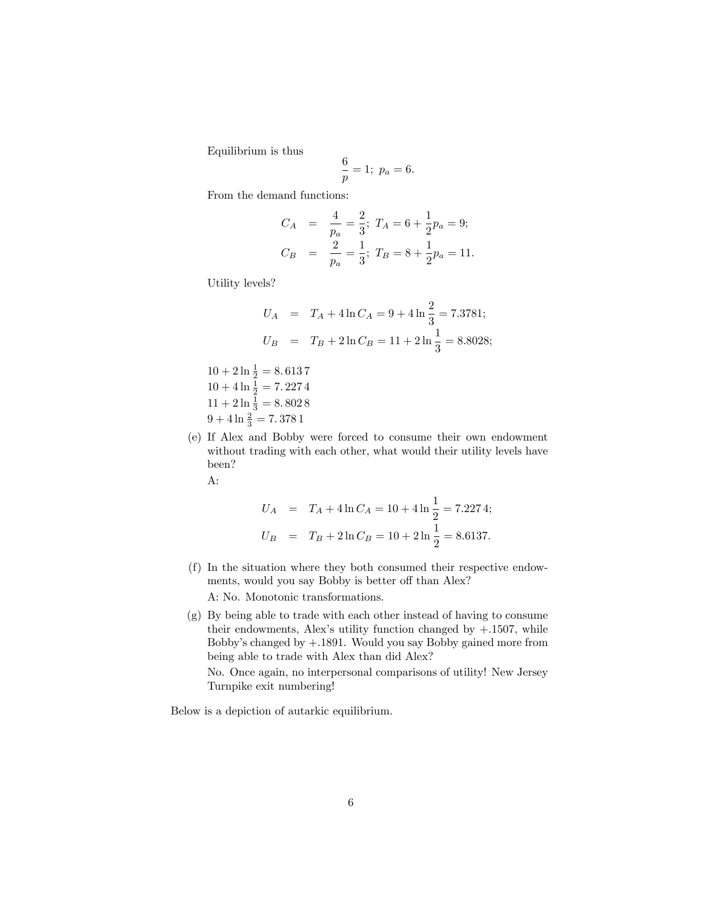Equilibrium is thus

$$
\frac{6}{p} = 1; \ p_a = 6.
$$

From the demand functions:

$$
C_A = \frac{4}{p_a} = \frac{2}{3}; T_A = 6 + \frac{1}{2}p_a = 9;
$$
  

$$
C_B = \frac{2}{p_a} = \frac{1}{3}; T_B = 8 + \frac{1}{2}p_a = 11.
$$

Utility levels?

$$
U_A = T_A + 4 \ln C_A = 9 + 4 \ln \frac{2}{3} = 7.3781;
$$
  

$$
U_B = T_B + 2 \ln C_B = 11 + 2 \ln \frac{1}{3} = 8.8028;
$$

 $10 + 2 \ln \frac{1}{2} = 8.6137$  $10 + 4 \ln \frac{1}{2} = 7.2274$  $11 + 2 \ln \frac{1}{3} = 8.8028$  $9 + 4 \ln \frac{2}{3} = 7.3781$ 

(e) If Alex and Bobby were forced to consume their own endowment without trading with each other, what would their utility levels have been?

A:

$$
U_A = T_A + 4 \ln C_A = 10 + 4 \ln \frac{1}{2} = 7.2274;
$$
  

$$
U_B = T_B + 2 \ln C_B = 10 + 2 \ln \frac{1}{2} = 8.6137.
$$

(f) In the situation where they both consumed their respective endowments, would you say Bobby is better off than Alex?

A: No. Monotonic transformations.

(g) By being able to trade with each other instead of having to consume their endowments, Alex's utility function changed by  $+.1507$ , while Bobby's changed by  $+.1891.$  Would you say Bobby gained more from being able to trade with Alex than did Alex?

No. Once again, no interpersonal comparisons of utility! New Jersey Turnpike exit numbering!

Below is a depiction of autarkic equilibrium.